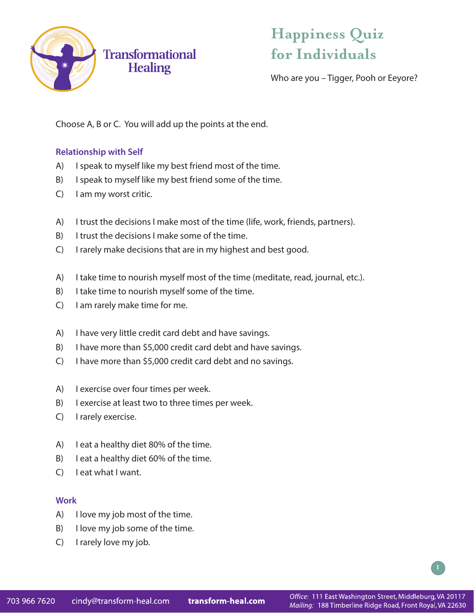

## **Happiness Quiz for Individuals**

Who are you – Tigger, Pooh or Eeyore?

Choose A, B or C. You will add up the points at the end.

### **Relationship with Self**

- A) I speak to myself like my best friend most of the time.
- B) I speak to myself like my best friend some of the time.
- C) I am my worst critic.
- A) I trust the decisions I make most of the time (life, work, friends, partners).
- B) I trust the decisions I make some of the time.
- C) I rarely make decisions that are in my highest and best good.
- A) I take time to nourish myself most of the time (meditate, read, journal, etc.).
- B) I take time to nourish myself some of the time.
- C) I am rarely make time for me.
- A) I have very little credit card debt and have savings.
- B) I have more than \$5,000 credit card debt and have savings.
- C) I have more than \$5,000 credit card debt and no savings.
- A) I exercise over four times per week.
- B) I exercise at least two to three times per week.
- C) I rarely exercise.
- A) I eat a healthy diet 80% of the time.
- B) I eat a healthy diet 60% of the time.
- C) I eat what I want.

### **Work**

- A) I love my job most of the time.
- B) I love my job some of the time.
- C) I rarely love my job.

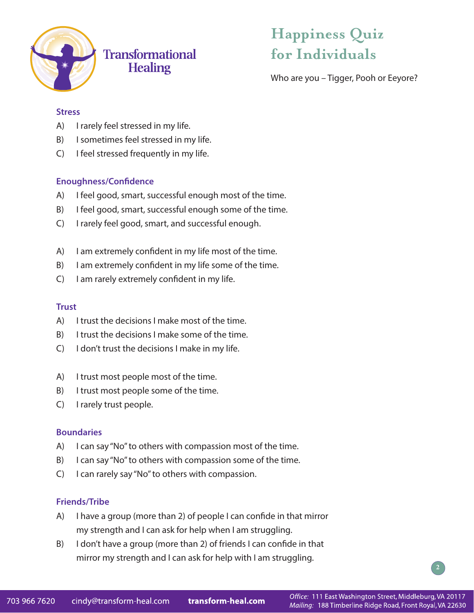

## **Transformational Healing**

# **Happiness Quiz for Individuals**

Who are you – Tigger, Pooh or Eeyore?

### **Stress**

- A) I rarely feel stressed in my life.
- B) I sometimes feel stressed in my life.
- C) I feel stressed frequently in my life.

## **Enoughness/Confidence**

- A) I feel good, smart, successful enough most of the time.
- B) I feel good, smart, successful enough some of the time.
- C) I rarely feel good, smart, and successful enough.
- A) I am extremely confident in my life most of the time.
- B) I am extremely confident in my life some of the time.
- C) I am rarely extremely confident in my life.

### **Trust**

- A) I trust the decisions I make most of the time.
- B) I trust the decisions I make some of the time.
- C) I don't trust the decisions I make in my life.
- A) I trust most people most of the time.
- B) I trust most people some of the time.
- C) I rarely trust people.

### **Boundaries**

- A) I can say "No" to others with compassion most of the time.
- B) I can say "No" to others with compassion some of the time.
- C) I can rarely say "No" to others with compassion.

### **Friends/Tribe**

- A) I have a group (more than 2) of people I can confide in that mirror my strength and I can ask for help when I am struggling.
- B) I don't have a group (more than 2) of friends I can confide in that mirror my strength and I can ask for help with I am struggling.

**2**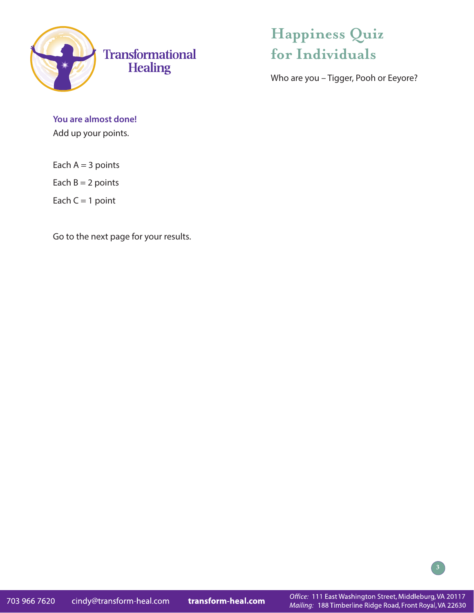

## **Happiness Quiz for Individuals**

Who are you – Tigger, Pooh or Eeyore?

**You are almost done!** Add up your points.

Each  $A = 3$  points

Each  $B = 2$  points

Each  $C = 1$  point

Go to the next page for your results.